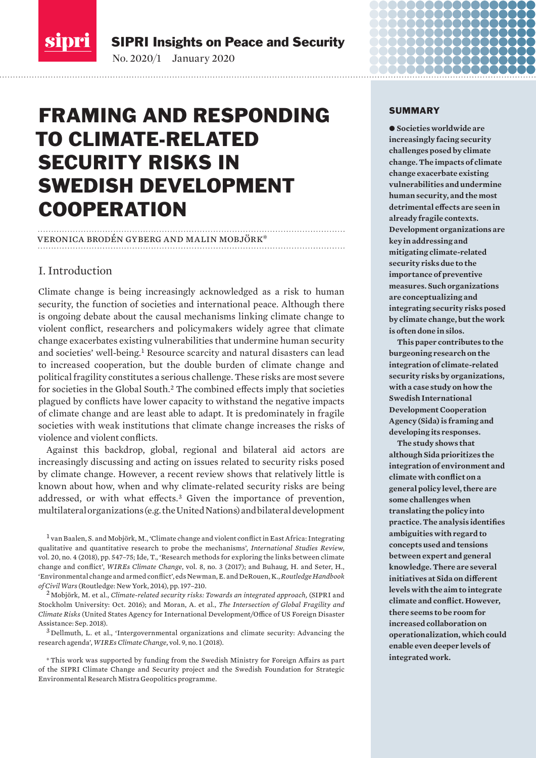<span id="page-0-0"></span>

SIPRI Insights on Peace and Security

No. 2020/1 January 2020

# FRAMING AND RESPONDING TO CLIMATE-RELATED SECURITY RISKS IN SWEDISH DEVELOPMENT **COOPERATION**

veronica brodén gyberg and malin mobjörk\*

# I. Introduction

Climate change is being increasingly acknowledged as a risk to human security, the function of societies and international peace. Although there is ongoing debate about the causal mechanisms linking climate change to violent conflict, researchers and policymakers widely agree that climate change exacerbates existing vulnerabilities that undermine human security and societies' well-being.<sup>1</sup> Resource scarcity and natural disasters can lead to increased cooperation, but the double burden of climate change and political fragility constitutes a serious challenge. These risks are most severe for societies in the Global South.<sup>2</sup> The combined effects imply that societies plagued by conflicts have lower capacity to withstand the negative impacts of climate change and are least able to adapt. It is predominately in fragile societies with weak institutions that climate change increases the risks of violence and violent conflicts.

Against this backdrop, global, regional and bilateral aid actors are increasingly discussing and acting on issues related to security risks posed by climate change. However, a recent review shows that relatively little is known about how, when and why climate-related security risks are being addressed, or with what effects.<sup>3</sup> Given the importance of prevention, multilateral organizations (e.g. the United Nations) and bilateral development

<sup>1</sup> van Baalen, S. and Mobjörk, M., 'Climate change and violent conflict in East Africa: Integrating qualitative and quantitative research to probe the mechanisms', *International Studies Review*, vol. 20, no. 4 (2018), pp. 547–75; Ide, T., 'Research methods for exploring the links between climate change and conflict', *WIREs Climate Change*, vol. 8, no. 3 (2017); and Buhaug, H. and Seter, H., 'Environmental change and armed conflict', eds Newman, E. and DeRouen, K., *Routledge Handbook of Civil Wars* (Routledge: New York, 2014), pp. 197–210.

<sup>2</sup> Mobjörk, M. et al., *Climate-related security risks: Towards an integrated approach,* (SIPRI and Stockholm University: Oct. 2016); and Moran, A. et al., *The Intersection of Global Fragility and Climate Risks* (United States Agency for International Development/Office of US Foreign Disaster Assistance: Sep. 2018).

<sup>3</sup> Dellmuth, L. et al., 'Intergovernmental organizations and climate security: Advancing the research agenda', *WIREs Climate Change*, vol. 9, no. 1 (2018).

\*This work was supported by funding from the Swedish Ministry for Foreign Affairs as part of the SIPRI Climate Change and Security project and the Swedish Foundation for Strategic Environmental Research Mistra Geopolitics programme.

#### SUMMARY

● Societies worldwide are **increasingly facing security challenges posed by climate change. The impacts of climate change exacerbate existing vulnerabilities and undermine human security, and the most detrimental effects are seen in already fragile contexts. Development organizations are key in addressing and mitigating climate-related security risks due to the importance of preventive measures. Such organizations are conceptualizing and integrating security risks posed by climate change, but the work is often done in silos.**

**This paper contributes to the burgeoning research on the integration of climate-related security risks by organizations, with a case study on how the Swedish International Development Cooperation Agency (Sida) is framing and developing its responses.**

**The study shows that although Sida prioritizes the integration of environment and climate with conflict on a general policy level, there are some challenges when translating the policy into practice. The analysis identifies ambiguities with regard to concepts used and tensions between expert and general knowledge. There are several initiatives at Sida on different levels with the aim to integrate climate and conflict. However, there seems to be room for increased collaboration on operationalization, which could enable even deeper levels of integrated work.**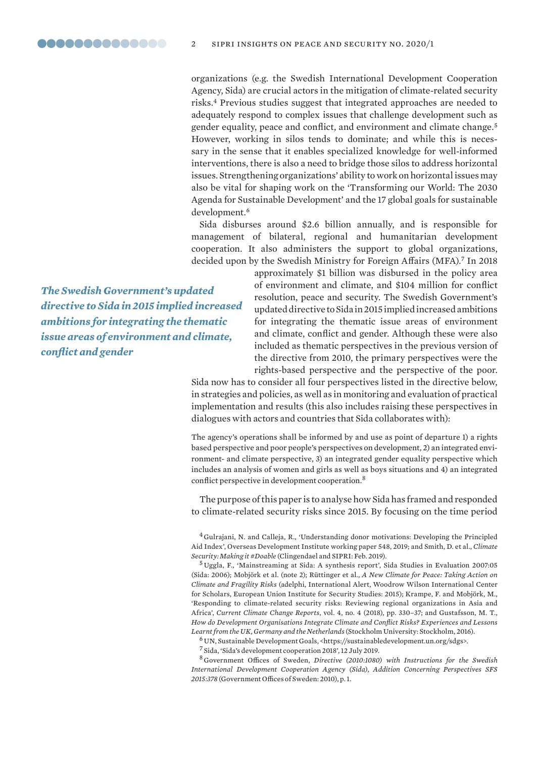organizations (e.g. the Swedish International Development Cooperation Agency, Sida) are crucial actors in the mitigation of climate-related security risks.<sup>4</sup> Previous studies suggest that integrated approaches are needed to adequately respond to complex issues that challenge development such as gender equality, peace and conflict, and environment and climate change.<sup>5</sup> However, working in silos tends to dominate; and while this is necessary in the sense that it enables specialized knowledge for well-informed interventions, there is also a need to bridge those silos to address horizontal issues. Strengthening organizations' ability to work on horizontal issues may also be vital for shaping work on the 'Transforming our World: The 2030 Agenda for Sustainable Development' and the 17 global goals for sustainable development.<sup>6</sup>

Sida disburses around \$2.6 billion annually, and is responsible for management of bilateral, regional and humanitarian development cooperation. It also administers the support to global organizations, decided upon by the Swedish Ministry for Foreign Affairs (MFA).<sup>7</sup> In 2018

*The Swedish Government's updated directive to Sida in 2015 implied increased ambitions for integrating the thematic issue areas of environment and climate, conflict and gender*

approximately \$1 billion was disbursed in the policy area of environment and climate, and \$104 million for conflict resolution, peace and security. The Swedish Government's updated directive to Sida in 2015 implied increased ambitions for integrating the thematic issue areas of environment and climate, conflict and gender. Although these were also included as thematic perspectives in the previous version of the directive from 2010, the primary perspectives were the rights-based perspective and the perspective of the poor.

Sida now has to consider all four perspectives listed in the directive below, in strategies and policies, as well as in monitoring and evaluation of practical implementation and results (this also includes raising these perspectives in dialogues with actors and countries that Sida collaborates with):

The agency's operations shall be informed by and use as point of departure 1) a rights based perspective and poor people's perspectives on development, 2) an integrated environment- and climate perspective, 3) an integrated gender equality perspective which includes an analysis of women and girls as well as boys situations and 4) an integrated conflict perspective in development cooperation.<sup>8</sup>

The purpose of this paper is to analyse how Sida has framed and responded to climate-related security risks since 2015. By focusing on the time period

<sup>4</sup> Gulrajani, N. and Calleja, R., 'Understanding donor motivations: Developing the Principled Aid Index', Overseas Development Institute working paper 548, 2019; and Smith, D. et al., *Climate Security: Making it #Doable* (Clingendael and SIPRI: Feb. 2019).

<sup>5</sup> Uggla, F., 'Mainstreaming at Sida: A synthesis report', Sida Studies in Evaluation 2007:05 (Sida: 2006); Mobjörk et al. (note 2); Rüttinger et al., *A New Climate for Peace: Taking Action on Climate and Fragility Risks* (adelphi, International Alert, Woodrow Wilson International Center for Scholars, European Union Institute for Security Studies: 2015); Krampe, F. and Mobjörk, M., 'Responding to climate-related security risks: Reviewing regional organizations in Asia and Africa', *Current Climate Change Reports*, vol. 4, no. 4 (2018), pp. 330–37; and Gustafsson, M. T., *How do Development Organisations Integrate Climate and Conflict Risks? Experiences and Lessons Learnt from the UK, Germany and the Netherlands* (Stockholm University: Stockholm, 2016).

 $^6$  UN, Sustainable Development Goals, <https://sustainabledevelopment.un.org/sdgs>.

<sup>7</sup> Sida, '[Sida's development cooperation 2018](http://www.sida.se/Svenska/sa-arbetar-vi/resultat-av-svenskt-bistand/sidas-utvecklingssamarbete-2018/)', 12 July 2019.

<sup>8</sup> Government Offices of Sweden, *Directive (2010:1080) with Instructions for the Swedish International Development Cooperation Agency (Sida), Addition Concerning Perspectives SFS 2015:378* (Government Offices of Sweden: 2010), p. 1.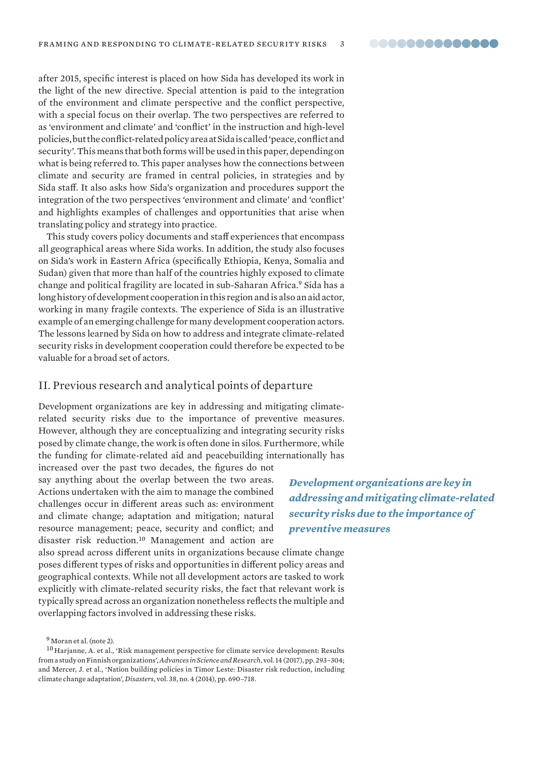after 2015, specific interest is placed on how Sida has developed its work in the light of the new directive. Special attention is paid to the integration of the environment and climate perspective and the conflict perspective, with a special focus on their overlap. The two perspectives are referred to as 'environment and climate' and 'conflict' in the instruction and high-level policies, but the conflict-related policy area at Sida is called 'peace, conflict and security'. This means that both forms will be used in this paper, depending on what is being referred to. This paper analyses how the connections between climate and security are framed in central policies, in strategies and by Sida staff. It also asks how Sida's organization and procedures support the integration of the two perspectives 'environment and climate' and 'conflict' and highlights examples of challenges and opportunities that arise when translating policy and strategy into practice.

This study covers policy documents and staff experiences that encompass all geographical areas where Sida works. In addition, the study also focuses on Sida's work in Eastern Africa (specifically Ethiopia, Kenya, Somalia and Sudan) given that more than half of the countries highly exposed to climate change and political fragility are located in sub-Saharan Africa.<sup>9</sup> Sida has a long history of development cooperation in this region and is also an aid actor, working in many fragile contexts. The experience of Sida is an illustrative example of an emerging challenge for many development cooperation actors. The lessons learned by Sida on how to address and integrate climate-related security risks in development cooperation could therefore be expected to be valuable for a broad set of actors.

## II. Previous research and analytical points of departure

Development organizations are key in addressing and mitigating climaterelated security risks due to the importance of preventive measures. However, although they are conceptualizing and integrating security risks posed by climate change, the work is often done in silos. Furthermore, while the funding for climate-related aid and peacebuilding internationally has

increased over the past two decades, the figures do not say anything about the overlap between the two areas. Actions undertaken with the aim to manage the combined challenges occur in different areas such as: environment and climate change; adaptation and mitigation; natural resource management; peace, security and conflict; and disaster risk reduction.<sup>10</sup> Management and action are

*Development organizations are key in addressing and mitigating climate-related security risks due to the importance of preventive measures*

also spread across different units in organizations because climate change poses different types of risks and opportunities in different policy areas and geographical contexts. While not all development actors are tasked to work explicitly with climate-related security risks, the fact that relevant work is typically spread across an organization nonetheless reflects the multiple and overlapping factors involved in addressing these risks.

<sup>9</sup> Moran et al. (note 2).

 $^{10}\rm{Harjanne}$ , A. et al., 'Risk management perspective for climate service development: Results from a study on Finnish organizations', *Advances in Science and Research*, vol. 14 (2017), pp. 293–304; and Mercer, J. et al., 'Nation building policies in Timor Leste: Disaster risk reduction, including climate change adaptation', *Disasters*, vol. 38, no. 4 (2014), pp. 690–718.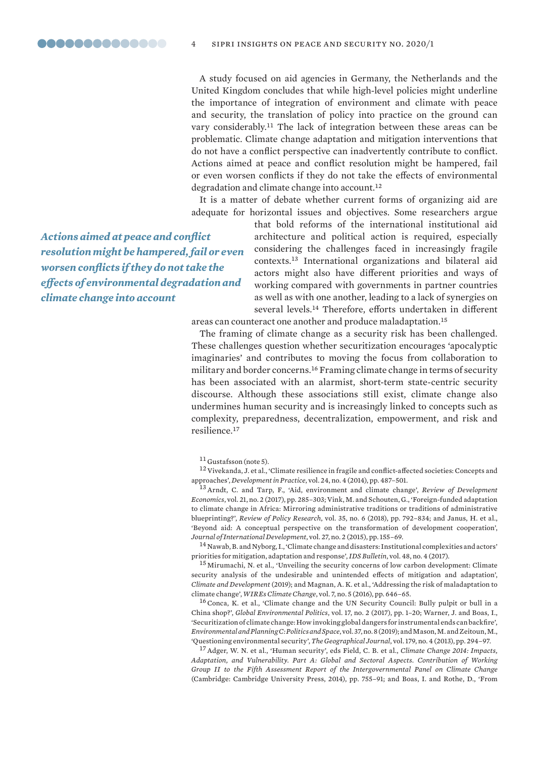<span id="page-3-0"></span>A study focused on aid agencies in Germany, the Netherlands and the United Kingdom concludes that while high-level policies might underline the importance of integration of environment and climate with peace and security, the translation of policy into practice on the ground can vary considerably.<sup>11</sup> The lack of integration between these areas can be problematic. Climate change adaptation and mitigation interventions that do not have a conflict perspective can inadvertently contribute to conflict. Actions aimed at peace and conflict resolution might be hampered, fail or even worsen conflicts if they do not take the effects of environmental degradation and climate change into account.<sup>12</sup>

It is a matter of debate whether current forms of organizing aid are adequate for horizontal issues and objectives. Some researchers argue

*Actions aimed at peace and conflict resolution might be hampered, fail or even worsen conflicts if they do not take the effects of environmental degradation and climate change into account*

that bold reforms of the international institutional aid architecture and political action is required, especially considering the challenges faced in increasingly fragile contexts.<sup>13</sup> International organizations and bilateral aid actors might also have different priorities and ways of working compared with governments in partner countries as well as with one another, leading to a lack of synergies on several levels.<sup>14</sup> Therefore, efforts undertaken in different areas can counteract one another and produce maladaptation.<sup>15</sup>

The framing of climate change as a security risk has been challenged. These challenges question whether securitization encourages 'apocalyptic imaginaries' and contributes to moving the focus from collaboration to military and border concerns.<sup>16</sup> Framing climate change in terms of security has been associated with an alarmist, short-term state-centric security discourse. Although these associations still exist, climate change also undermines human security and is increasingly linked to concepts such as complexity, preparedness, decentralization, empowerment, and risk and resilience.<sup>17</sup>

<sup>11</sup> Gustafsson (note 5).

<sup>12</sup>Vivekanda, J. et al., 'Climate resilience in fragile and conflict-affected societies: Concepts and approaches', *Development in Practice*, vol. 24, no. 4 (2014), pp. 487–501.

<sup>13</sup>Arndt, C. and Tarp, F., 'Aid, environment and climate change', *Review of Development Economics*, vol. 21, no. 2 (2017), pp. 285–303; Vink, M. and Schouten, G., 'Foreign-funded adaptation to climate change in Africa: Mirroring administrative traditions or traditions of administrative blueprinting?', *Review of Policy Research*, vol. 35, no. 6 (2018), pp. 792–834; and Janus, H. et al., 'Beyond aid: A conceptual perspective on the transformation of development cooperation', *Journal of International Development*, vol. 27, no. 2 (2015), pp. 155–69.

<sup>14</sup> Nawab, B. and Nyborg, I., 'Climate change and disasters: Institutional complexities and actors' priorities for mitigation, adaptation and response', *IDS Bulletin*, vol. 48, no. 4 (2017).

<sup>15</sup> Mirumachi, N. et al., 'Unveiling the security concerns of low carbon development: Climate security analysis of the undesirable and unintended effects of mitigation and adaptation', *Climate and Development* (2019); and Magnan, A. K. et al., 'Addressing the risk of maladaptation to climate change', *WIREs Climate Change*, vol. 7, no. 5 (2016), pp. 646–65.

<sup>16</sup> Conca, K. et al., 'Climate change and the UN Security Council: Bully pulpit or bull in a China shop?', *Global Environmental Politics*, vol. 17, no. 2 (2017), pp. 1–20; Warner, J. and Boas, I., 'Securitization of climate change: How invoking global dangers for instrumental ends can backfire', *Environmental and Planning C: Politics and Space*, vol. 37, no. 8 (2019); and Mason, M. and Zeitoun, M., 'Questioning environmental security', *The Geographical Journal*, vol. 179, no. 4 (2013), pp. 294–97.

<sup>17</sup>Adger, W. N. et al., 'Human security', eds Field, C. B. et al., *Climate Change 2014: Impacts, Adaptation, and Vulnerability. Part A: Global and Sectoral Aspects*. *Contribution of Working Group II to the Fifth Assessment Report of the Intergovernmental Panel on Climate Change* (Cambridge: Cambridge University Press, 2014), pp. 755–91; and Boas, I. and Rothe, D., 'From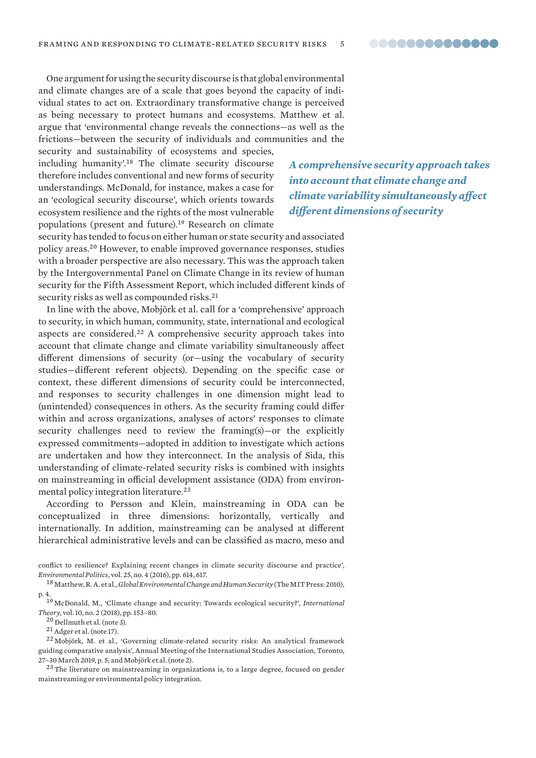One argument for using the security discourse is that global environmental and climate changes are of a scale that goes beyond the capacity of individual states to act on. Extraordinary transformative change is perceived as being necessary to protect humans and ecosystems. Matthew et al. argue that 'environmental change reveals the connections—as well as the frictions—between the security of individuals and communities and the security and sustainability of ecosystems and species,

including humanity'.<sup>18</sup> The climate security discourse therefore includes conventional and new forms of security understandings. McDonald, for instance, makes a case for an 'ecological security discourse', which orients towards ecosystem resilience and the rights of the most vulnerable populations (present and future).<sup>19</sup> Research on climate

*A comprehensive security approach takes into account that climate change and climate variability simultaneously affect different dimensions of security*

security has tended to focus on either human or state security and associated policy areas.<sup>20</sup> However, to enable improved governance responses, studies with a broader perspective are also necessary. This was the approach taken by the Intergovernmental Panel on Climate Change in its review of human security for the Fifth Assessment Report, which included different kinds of security risks as well as compounded risks.<sup>21</sup>

In line with the above, Mobjörk et al. call for a 'comprehensive' approach to security, in which human, community, state, international and ecological aspects are considered.<sup>22</sup> A comprehensive security approach takes into account that climate change and climate variability simultaneously affect different dimensions of security (or—using the vocabulary of security studies—different referent objects). Depending on the specific case or context, these different dimensions of security could be interconnected, and responses to security challenges in one dimension might lead to (unintended) consequences in others. As the security framing could differ within and across organizations, analyses of actors' responses to climate security challenges need to review the framing(s)-or the explicitly expressed commitments—adopted in addition to investigate which actions are undertaken and how they interconnect. In the analysis of Sida, this understanding of climate-related security risks is combined with insights on mainstreaming in official development assistance (ODA) from environmental policy integration literature.<sup>23</sup>

According to Persson and Klein, mainstreaming in ODA can be conceptualized in three dimensions: horizontally, vertically and internationally. In addition, mainstreaming can be analysed at different hierarchical administrative levels and can be classified as macro, meso and

conflict to resilience? Explaining recent changes in climate security discourse and practice', *Environmental Politics*, vol. 25, no. 4 (2016), pp. 614, 617.

<sup>18</sup> Matthew, R. A. et al., *Global Environmental Change and Human Security* (The MIT Press: 2010), p. 4.

<sup>19</sup> McDonald, M., 'Climate change and security: Towards ecological security?', *International Theory*, vol. 10, no. 2 (2018), pp. 153–80.

<sup>20</sup> Dellmuth et al. (note 3).

<sup>21</sup>Adger et al. (note 17).

<sup>22</sup> Mobjörk, M. et al., 'Governing climate-related security risks: An analytical framework guiding comparative analysis', Annual Meeting of the International Studies Association, Toronto, 27–30 March 2019, p. 5; and Mobjörk et al. (note 2).

<sup>23</sup> The literature on mainstreaming in organizations is, to a large degree, focused on gender mainstreaming or environmental policy integration.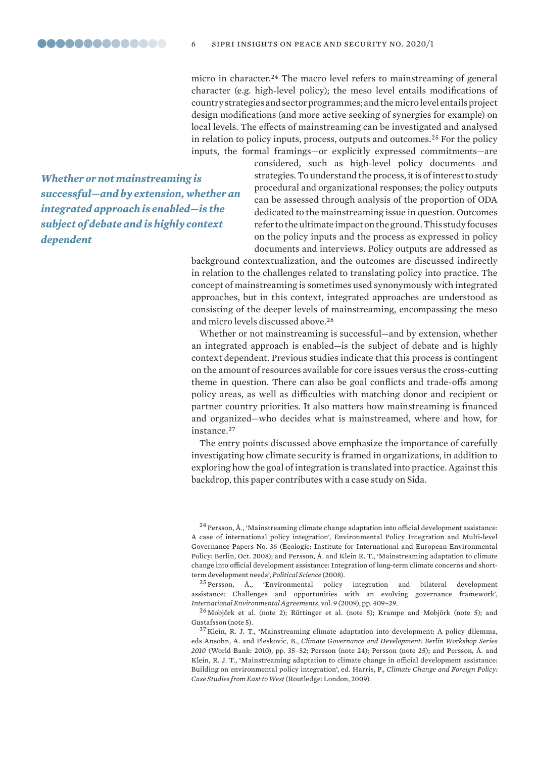micro in character.<sup>24</sup> The macro level refers to mainstreaming of general character (e.g. high-level policy); the meso level entails modifications of country strategies and sector programmes; and the micro level entails project design modifications (and more active seeking of synergies for example) on local levels. The effects of mainstreaming can be investigated and analysed in relation to policy inputs, process, outputs and outcomes.<sup>25</sup> For the policy inputs, the formal framings—or explicitly expressed commitments—are

*Whether or not mainstreaming is successful—and by extension, whether an integrated approach is enabled—is the subject of debate and is highly context dependent*

considered, such as high-level policy documents and strategies. To understand the process, it is of interest to study procedural and organizational responses; the policy outputs can be assessed through analysis of the proportion of ODA dedicated to the mainstreaming issue in question. Outcomes refer to the ultimate impact on the ground. This study focuses on the policy inputs and the process as expressed in policy documents and interviews. Policy outputs are addressed as

background contextualization, and the outcomes are discussed indirectly in relation to the challenges related to translating policy into practice. The concept of mainstreaming is sometimes used synonymously with integrated approaches, but in this context, integrated approaches are understood as consisting of the deeper levels of mainstreaming, encompassing the meso and micro levels discussed above.<sup>26</sup>

Whether or not mainstreaming is successful—and by extension, whether an integrated approach is enabled—is the subject of debate and is highly context dependent. Previous studies indicate that this process is contingent on the amount of resources available for core issues versus the cross-cutting theme in question. There can also be goal conflicts and trade-offs among policy areas, as well as difficulties with matching donor and recipient or partner country priorities. It also matters how mainstreaming is financed and organized—who decides what is mainstreamed, where and how, for instance.<sup>27</sup>

The entry points discussed above emphasize the importance of carefully investigating how climate security is framed in organizations, in addition to exploring how the goal of integration is translated into practice. Against this backdrop, this paper contributes with a case study on Sida.

<sup>24</sup> Persson, Å., 'Mainstreaming climate change adaptation into official development assistance: A case of international policy integration', Environmental Policy Integration and Multi-level Governance Papers No. 36 (Ecologic: Institute for International and European Environmental Policy: Berlin, Oct. 2008); and Persson, Å. and Klein R. T., '[Mainstreaming adaptation to climate](https://www.semanticscholar.org/paper/Mainstreaming-Adaptation-to-Climate-Change-into-%3A-Persson-Klein/267a256869dd07c6e57ea4ad0c4317af34854108>.)  [change into official development assistance: Integration of long-term climate concerns and short](https://www.semanticscholar.org/paper/Mainstreaming-Adaptation-to-Climate-Change-into-%3A-Persson-Klein/267a256869dd07c6e57ea4ad0c4317af34854108>.)[term development needs'](https://www.semanticscholar.org/paper/Mainstreaming-Adaptation-to-Climate-Change-into-%3A-Persson-Klein/267a256869dd07c6e57ea4ad0c4317af34854108>.), *Political Science* (2008).

<sup>25</sup> Persson, Å., 'Environmental policy integration and bilateral development assistance: Challenges and opportunities with an evolving governance framework', *International Environmental Agreements*, vol. 9 (2009), pp. 409–29.

<sup>26</sup> Mobjörk et al. (note 2); Rüttinger et al. (note 5); Krampe and Mobjörk (note 5); and Gustafsson (note 5).

 $^{27}$  Klein, R. J. T., 'Mainstreaming climate adaptation into development: A policy dilemma, eds Ansohn, A. and Pleskovic, B., *Climate Governance and Development: Berlin Workshop Series 2010* (World Bank: 2010), pp. 35–52; Persson (note 24); Persson (note 25); and Persson, Å. and Klein, R. J. T., 'Mainstreaming adaptation to climate change in official development assistance: Building on environmental policy integration', ed. Harris, P., *Climate Change and Foreign Policy: Case Studies from East to West* (Routledge: London, 2009).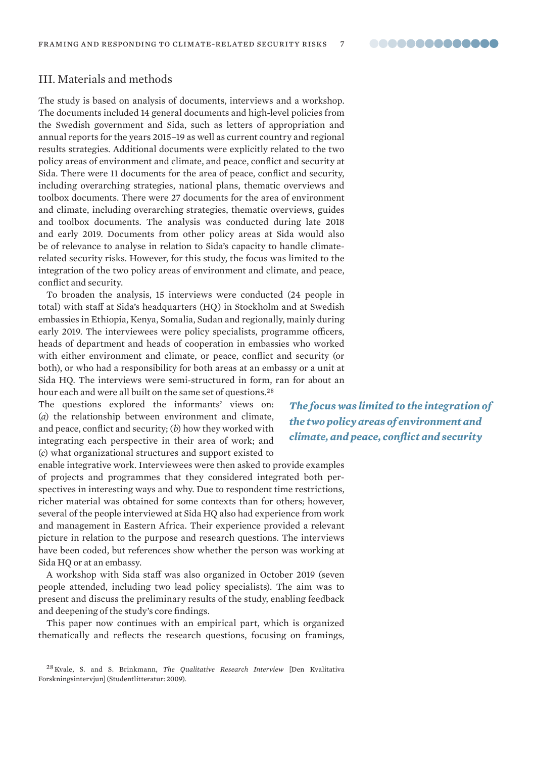# III. Materials and methods

The study is based on analysis of documents, interviews and a workshop. The documents included 14 general documents and high-level policies from the Swedish government and Sida, such as letters of appropriation and annual reports for the years 2015–19 as well as current country and regional results strategies. Additional documents were explicitly related to the two policy areas of environment and climate, and peace, conflict and security at Sida. There were 11 documents for the area of peace, conflict and security, including overarching strategies, national plans, thematic overviews and toolbox documents. There were 27 documents for the area of environment and climate, including overarching strategies, thematic overviews, guides and toolbox documents. The analysis was conducted during late 2018 and early 2019. Documents from other policy areas at Sida would also be of relevance to analyse in relation to Sida's capacity to handle climaterelated security risks. However, for this study, the focus was limited to the integration of the two policy areas of environment and climate, and peace, conflict and security.

To broaden the analysis, 15 interviews were conducted (24 people in total) with staff at Sida's headquarters (HQ) in Stockholm and at Swedish embassies in Ethiopia, Kenya, Somalia, Sudan and regionally, mainly during early 2019. The interviewees were policy specialists, programme officers, heads of department and heads of cooperation in embassies who worked with either environment and climate, or peace, conflict and security (or both), or who had a responsibility for both areas at an embassy or a unit at Sida HQ. The interviews were semi-structured in form, ran for about an hour each and were all built on the same set of questions.<sup>28</sup>

The questions explored the informants' views on: (*a*) the relationship between environment and climate, and peace, conflict and security; (*b*) how they worked with integrating each perspective in their area of work; and (*c*) what organizational structures and support existed to

enable integrative work. Interviewees were then asked to provide examples of projects and programmes that they considered integrated both perspectives in interesting ways and why. Due to respondent time restrictions, richer material was obtained for some contexts than for others; however, several of the people interviewed at Sida HQ also had experience from work and management in Eastern Africa. Their experience provided a relevant picture in relation to the purpose and research questions. The interviews have been coded, but references show whether the person was working at Sida HQ or at an embassy.

A workshop with Sida staff was also organized in October 2019 (seven people attended, including two lead policy specialists). The aim was to present and discuss the preliminary results of the study, enabling feedback and deepening of the study's core findings.

This paper now continues with an empirical part, which is organized thematically and reflects the research questions, focusing on framings,

*The focus was limited to the integration of the two policy areas of environment and climate, and peace, conflict and security*

<sup>28</sup> Kvale, S. and S. Brinkmann, *The Qualitative Research Interview* [Den Kvalitativa Forskningsintervjun] (Studentlitteratur: 2009).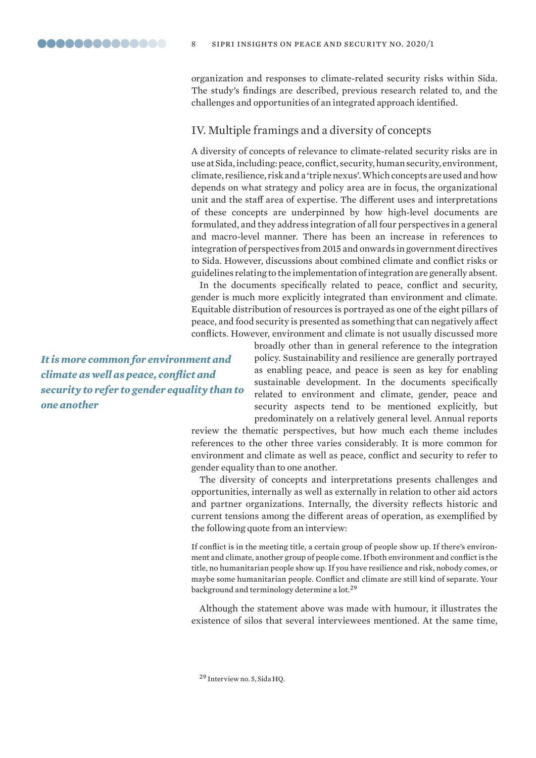organization and responses to climate-related security risks within Sida. The study's findings are described, previous research related to, and the challenges and opportunities of an integrated approach identified.

# IV. Multiple framings and a diversity of concepts

A diversity of concepts of relevance to climate-related security risks are in use at Sida, including: peace, conflict, security, human security, environment, climate, resilience, risk and a 'triple nexus'. Which concepts are used and how depends on what strategy and policy area are in focus, the organizational unit and the staff area of expertise. The different uses and interpretations of these concepts are underpinned by how high-level documents are formulated, and they address integration of all four perspectives in a general and macro-level manner. There has been an increase in references to integration of perspectives from 2015 and onwards in government directives to Sida. However, discussions about combined climate and conflict risks or guidelines relating to the implementation of integration are generally absent.

In the documents specifically related to peace, conflict and security, gender is much more explicitly integrated than environment and climate. Equitable distribution of resources is portrayed as one of the eight pillars of peace, and food security is presented as something that can negatively affect conflicts. However, environment and climate is not usually discussed more

*It is more common for environment and climate as well as peace, conflict and security to refer to gender equality than to one another*

broadly other than in general reference to the integration policy. Sustainability and resilience are generally portrayed as enabling peace, and peace is seen as key for enabling sustainable development. In the documents specifically related to environment and climate, gender, peace and security aspects tend to be mentioned explicitly, but predominately on a relatively general level. Annual reports

review the thematic perspectives, but how much each theme includes references to the other three varies considerably. It is more common for environment and climate as well as peace, conflict and security to refer to gender equality than to one another.

The diversity of concepts and interpretations presents challenges and opportunities, internally as well as externally in relation to other aid actors and partner organizations. Internally, the diversity reflects historic and current tensions among the different areas of operation, as exemplified by the following quote from an interview:

If conflict is in the meeting title, a certain group of people show up. If there's environment and climate, another group of people come. If both environment and conflict is the title, no humanitarian people show up. If you have resilience and risk, nobody comes, or maybe some humanitarian people. Conflict and climate are still kind of separate. Your background and terminology determine a lot.<sup>29</sup>

Although the statement above was made with humour, it illustrates the existence of silos that several interviewees mentioned. At the same time,

<sup>29</sup> Interview no. 5, Sida HQ.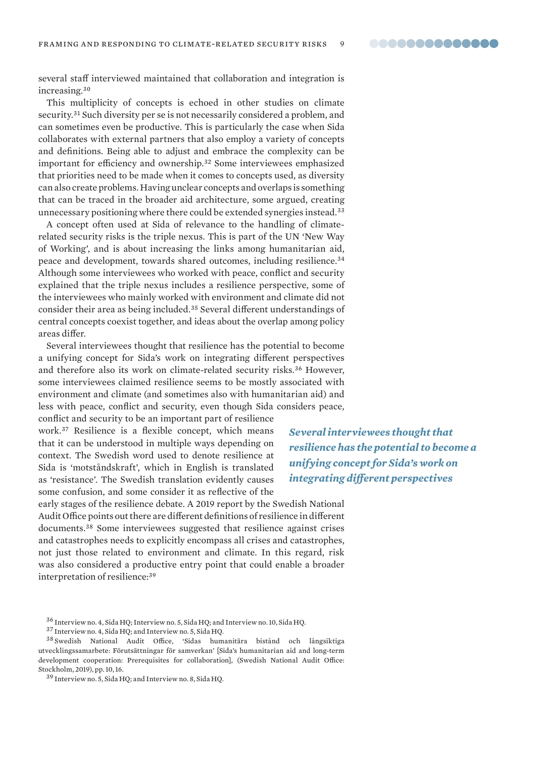several staff interviewed maintained that collaboration and integration is increasing.<sup>30</sup>

This multiplicity of concepts is echoed in other studies on climate security.<sup>31</sup> Such diversity per se is not necessarily considered a problem, and can sometimes even be productive. This is particularly the case when Sida collaborates with external partners that also employ a variety of concepts and definitions. Being able to adjust and embrace the complexity can be important for efficiency and ownership.<sup>32</sup> Some interviewees emphasized that priorities need to be made when it comes to concepts used, as diversity can also create problems. Having unclear concepts and overlaps is something that can be traced in the broader aid architecture, some argued, creating unnecessary positioning where there could be extended synergies instead.<sup>33</sup>

A concept often used at Sida of relevance to the handling of climaterelated security risks is the triple nexus. This is part of the UN 'New Way of Working', and is about increasing the links among humanitarian aid, peace and development, towards shared outcomes, including resilience.<sup>34</sup> Although some interviewees who worked with peace, conflict and security explained that the triple nexus includes a resilience perspective, some of the interviewees who mainly worked with environment and climate did not consider their area as being included.<sup>35</sup> Several different understandings of central concepts coexist together, and ideas about the overlap among policy areas differ.

Several interviewees thought that resilience has the potential to become a unifying concept for Sida's work on integrating different perspectives and therefore also its work on climate-related security risks.<sup>36</sup> However, some interviewees claimed resilience seems to be mostly associated with environment and climate (and sometimes also with humanitarian aid) and less with peace, conflict and security, even though Sida considers peace,

conflict and security to be an important part of resilience work.<sup>37</sup> Resilience is a flexible concept, which means that it can be understood in multiple ways depending on context. The Swedish word used to denote resilience at Sida is 'motståndskraft', which in English is translated as 'resistance'. The Swedish translation evidently causes some confusion, and some consider it as reflective of the

*Several interviewees thought that resilience has the potential to become a unifying concept for Sida's work on integrating different perspectives*

early stages of the resilience debate. A 2019 report by the Swedish National Audit Office points out there are different definitions of resilience in different documents.<sup>38</sup> Some interviewees suggested that resilience against crises and catastrophes needs to explicitly encompass all crises and catastrophes, not just those related to environment and climate. In this regard, risk was also considered a productive entry point that could enable a broader interpretation of resilience:<sup>39</sup>

<sup>36</sup> Interview no. 4, Sida HQ; Interview no. 5, Sida HQ; and Interview no. 10, Sida HQ.

<sup>37</sup> Interview no. 4, Sida HQ; and Interview no. 5, Sida HQ.

<sup>38</sup> Swedish National Audit Office, 'Sidas humanitära bistånd och långsiktiga utvecklingssamarbete: Förutsättningar för samverkan' [[Sida's humanitarian aid and long-term](https://www.riksrevisionen.se/en/audit-reports/audit-reports/2019/sidas-humanitarian-aid-and-long-term-development-cooperation---prerequisites-for-collaboration.html)  [development cooperation: Prerequisites for collaboration](https://www.riksrevisionen.se/en/audit-reports/audit-reports/2019/sidas-humanitarian-aid-and-long-term-development-cooperation---prerequisites-for-collaboration.html)], (Swedish National Audit Office: Stockholm, 2019), pp. 10, 16.

<sup>39</sup> Interview no. 5, Sida HQ; and Interview no. 8, Sida HQ.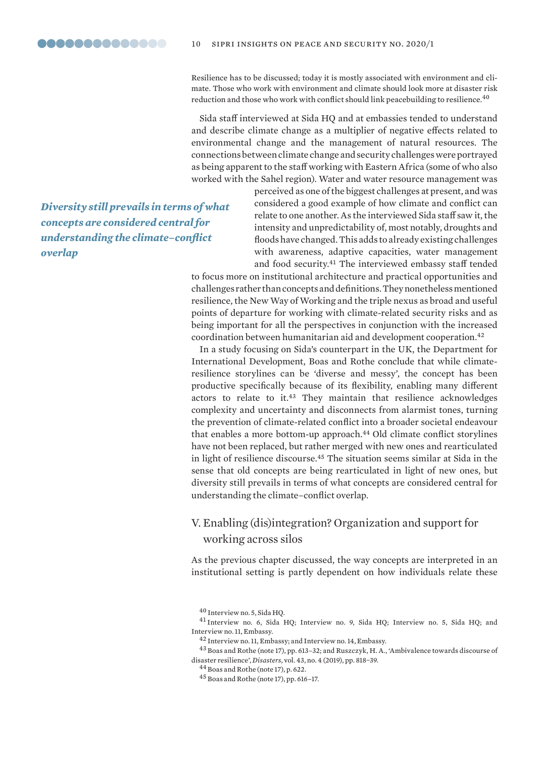Resilience has to be discussed; today it is mostly associated with environment and climate. Those who work with environment and climate should look more at disaster risk reduction and those who work with conflict should link peacebuilding to resilience.<sup>40</sup>

Sida staff interviewed at Sida HQ and at embassies tended to understand and describe climate change as a multiplier of negative effects related to environmental change and the management of natural resources. The connections between climate change and security challenges were portrayed as being apparent to the staff working with Eastern Africa (some of who also worked with the Sahel region). Water and water resource management was

*Diversity still prevails in terms of what concepts are considered central for understanding the climate–conflict overlap*

perceived as one of the biggest challenges at present, and was considered a good example of how climate and conflict can relate to one another. As the interviewed Sida staff saw it, the intensity and unpredictability of, most notably, droughts and floods have changed. This adds to already existing challenges with awareness, adaptive capacities, water management and food security.<sup>41</sup> The interviewed embassy staff tended

to focus more on institutional architecture and practical opportunities and challenges rather than concepts and definitions. They nonetheless mentioned resilience, the New Way of Working and the triple nexus as broad and useful points of departure for working with climate-related security risks and as being important for all the perspectives in conjunction with the increased coordination between humanitarian aid and development cooperation.<sup>42</sup>

In a study focusing on Sida's counterpart in the UK, the Department for International Development, Boas and Rothe conclude that while climateresilience storylines can be 'diverse and messy', the concept has been productive specifically because of its flexibility, enabling many different actors to relate to it.<sup>43</sup> They maintain that resilience acknowledges complexity and uncertainty and disconnects from alarmist tones, turning the prevention of climate-related conflict into a broader societal endeavour that enables a more bottom-up approach.<sup>44</sup> Old climate conflict storylines have not been replaced, but rather merged with new ones and rearticulated in light of resilience discourse.<sup>45</sup> The situation seems similar at Sida in the sense that old concepts are being rearticulated in light of new ones, but diversity still prevails in terms of what concepts are considered central for understanding the climate–conflict overlap.

# V. Enabling (dis)integration? Organization and support for working across silos

As the previous chapter discussed, the way concepts are interpreted in an institutional setting is partly dependent on how individuals relate these

<sup>40</sup> Interview no. 5, Sida HQ.

<sup>41</sup> Interview no. 6, Sida HQ; Interview no. 9, Sida HQ; Interview no. 5, Sida HQ; and Interview no. 11, Embassy.

<sup>&</sup>lt;sup>42</sup> Interview no. 11, Embassy; and Interview no. 14, Embassy.

<sup>43</sup> Boas and Rothe (note 17), pp. 613–32; and Ruszczyk, H. A., 'Ambivalence towards discourse of disaster resilience', *Disasters*, vol. 43, no. 4 (2019), pp. 818−39.

<sup>44</sup> Boas and Rothe (note 17), p. 622.

<sup>45</sup> Boas and Rothe (note 17), pp. 616–17.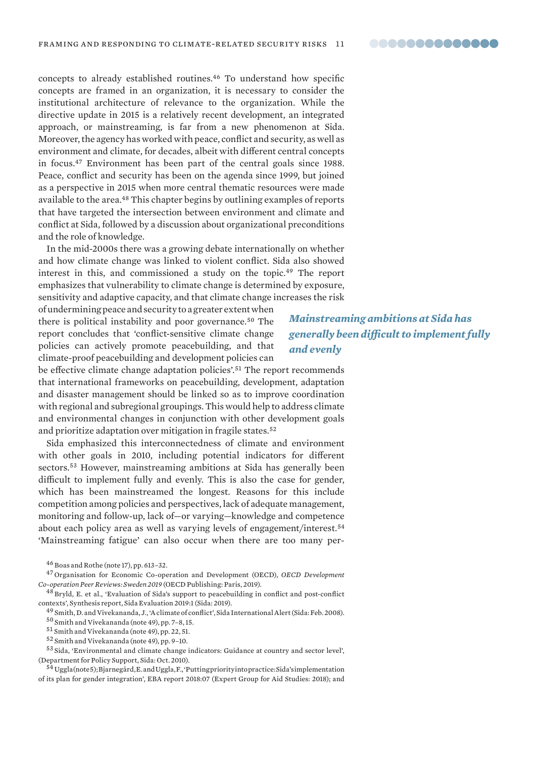concepts to already established routines.<sup>46</sup> To understand how specific concepts are framed in an organization, it is necessary to consider the institutional architecture of relevance to the organization. While the directive update in 2015 is a relatively recent development, an integrated approach, or mainstreaming, is far from a new phenomenon at Sida. Moreover, the agency has worked with peace, conflict and security, as well as environment and climate, for decades, albeit with different central concepts in focus.<sup>47</sup> Environment has been part of the central goals since 1988. Peace, conflict and security has been on the agenda since 1999, but joined as a perspective in 2015 when more central thematic resources were made available to the area.<sup>48</sup> This chapter begins by outlining examples of reports that have targeted the intersection between environment and climate and conflict at Sida, followed by a discussion about organizational preconditions and the role of knowledge.

In the mid-2000s there was a growing debate internationally on whether and how climate change was linked to violent conflict. Sida also showed interest in this, and commissioned a study on the topic.<sup>49</sup> The report emphasizes that vulnerability to climate change is determined by exposure, sensitivity and adaptive capacity, and that climate change increases the risk

of undermining peace and security to a greater extent when there is political instability and poor governance.<sup>50</sup> The report concludes that 'conflict-sensitive climate change policies can actively promote peacebuilding, and that climate-proof peacebuilding and development policies can

# *Mainstreaming ambitions at Sida has generally been difficult to implement fully and evenly*

be effective climate change adaptation policies'.<sup>51</sup> The report recommends that international frameworks on peacebuilding, development, adaptation and disaster management should be linked so as to improve coordination with regional and subregional groupings. This would help to address climate and environmental changes in conjunction with other development goals and prioritize adaptation over mitigation in fragile states.<sup>52</sup>

Sida emphasized this interconnectedness of climate and environment with other goals in 2010, including potential indicators for different sectors.<sup>53</sup> However, mainstreaming ambitions at Sida has generally been difficult to implement fully and evenly. This is also the case for gender, which has been mainstreamed the longest. Reasons for this include competition among policies and perspectives, lack of adequate management, monitoring and follow-up, lack of—or varying—knowledge and competence about each policy area as well as varying levels of engagement/interest.<sup>54</sup> 'Mainstreaming fatigue' can also occur when there are too many per-

<sup>48</sup> Bryld, E. et al., 'Evaluation of Sida's support to peacebuilding in conflict and post-conflict contexts', Synthesis report, Sida Evaluation 2019:1 (Sida: 2019).

<sup>49</sup> Smith, D. and Vivekananda, J., 'A climate of conflict', Sida International Alert (Sida: Feb. 2008).

<sup>50</sup> Smith and Vivekananda (note 49), pp. 7–8, 15.

<sup>52</sup> Smith and Vivekananda (note 49), pp. 9–10.

<sup>53</sup> Sida, 'Environmental and climate change indicators: Guidance at country and sector level', (Department for Policy Support, Sida: Oct. 2010).

<sup>54</sup> Uggla (note 5); Bjarnegård, E. and Uggla, F., 'Putting priority into practice: Sida's implementation of its plan for gender integration', EBA report 2018:07 (Expert Group for Aid Studies: 2018); and

<sup>46</sup> Boas and Rothe (note 17), pp. 613–32.

<sup>47</sup> Organisation for Economic Co-operation and Development (OECD), *OECD Development Co-operation Peer Reviews: Sweden 2019* (OECD Publishing: Paris, 2019).

<sup>51</sup> Smith and Vivekananda (note 49), pp. 22, 51.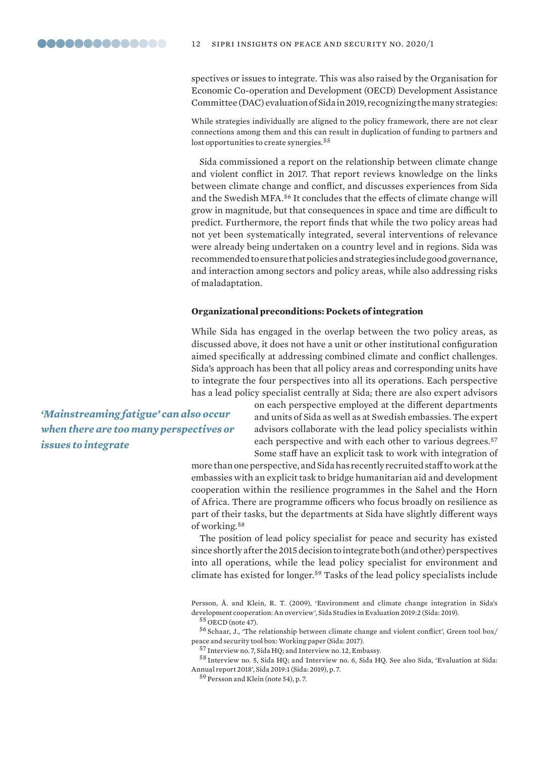spectives or issues to integrate. This was also raised by the Organisation for Economic Co-operation and Development (OECD) Development Assistance Committee (DAC) evaluation of Sida in 2019, recognizing the many strategies:

While strategies individually are aligned to the policy framework, there are not clear connections among them and this can result in duplication of funding to partners and lost opportunities to create synergies.<sup>55</sup>

Sida commissioned a report on the relationship between climate change and violent conflict in 2017. That report reviews knowledge on the links between climate change and conflict, and discusses experiences from Sida and the Swedish MFA.<sup>56</sup> It concludes that the effects of climate change will grow in magnitude, but that consequences in space and time are difficult to predict. Furthermore, the report finds that while the two policy areas had not yet been systematically integrated, several interventions of relevance were already being undertaken on a country level and in regions. Sida was recommended to ensure that policies and strategies include good governance, and interaction among sectors and policy areas, while also addressing risks of maladaptation.

#### **Organizational preconditions: Pockets of integration**

While Sida has engaged in the overlap between the two policy areas, as discussed above, it does not have a unit or other institutional configuration aimed specifically at addressing combined climate and conflict challenges. Sida's approach has been that all policy areas and corresponding units have to integrate the four perspectives into all its operations. Each perspective has a lead policy specialist centrally at Sida; there are also expert advisors

*'Mainstreaming fatigue' can also occur when there are too many perspectives or issues to integrate*

on each perspective employed at the different departments and units of Sida as well as at Swedish embassies. The expert advisors collaborate with the lead policy specialists within each perspective and with each other to various degrees.<sup>57</sup> Some staff have an explicit task to work with integration of

more than one perspective, and Sida has recently recruited staff to work at the embassies with an explicit task to bridge humanitarian aid and development cooperation within the resilience programmes in the Sahel and the Horn of Africa. There are programme officers who focus broadly on resilience as part of their tasks, but the departments at Sida have slightly different ways of working.<sup>58</sup>

The position of lead policy specialist for peace and security has existed since shortly after the 2015 decision to integrate both (and other) perspectives into all operations, while the lead policy specialist for environment and climate has existed for longer.<sup>59</sup> Tasks of the lead policy specialists include

Persson, Å. and Klein, R. T. (2009), 'Environment and climate change integration in Sida's development cooperation: An overview', Sida Studies in Evaluation 2019:2 (Sida: 2019).

<sup>56</sup> Schaar, J., 'The relationship between climate change and violent conflict', Green tool box/ peace and security tool box: Working paper (Sida: 2017).

<sup>58</sup> Interview no. 5, Sida HQ; and Interview no. 6, Sida HQ. See also Sida, 'Evaluation at Sida: Annual report 2018', Sida 2019:1 (Sida: 2019), p. 7.

<sup>59</sup> Persson and Klein (note 54), p. 7.

 $55$  OECD (note 47).

<sup>57</sup> Interview no. 7, Sida HQ; and Interview no. 12, Embassy.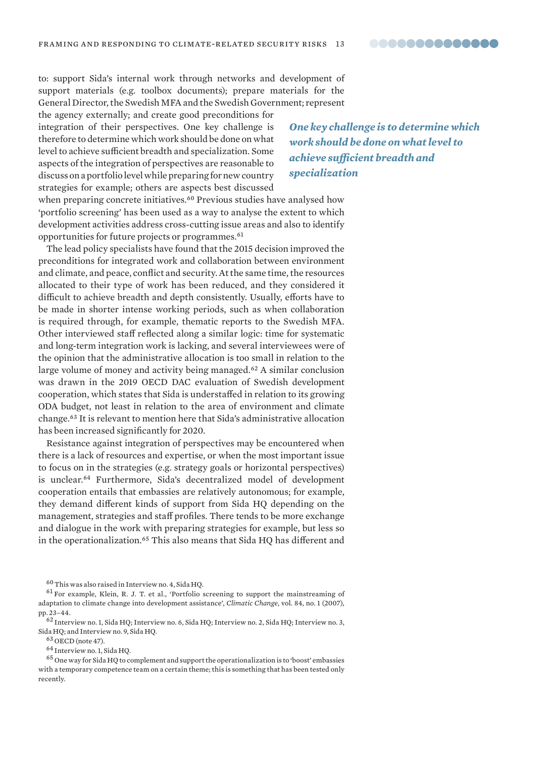to: support Sida's internal work through networks and development of support materials (e.g. toolbox documents); prepare materials for the General Director, the Swedish MFA and the Swedish Government; represent

the agency externally; and create good preconditions for integration of their perspectives. One key challenge is therefore to determine which work should be done on what level to achieve sufficient breadth and specialization. Some aspects of the integration of perspectives are reasonable to discuss on a portfolio level while preparing for new country strategies for example; others are aspects best discussed

*One key challenge is to determine which work should be done on what level to achieve sufficient breadth and specialization*

when preparing concrete initiatives.<sup>60</sup> Previous studies have analysed how 'portfolio screening' has been used as a way to analyse the extent to which development activities address cross-cutting issue areas and also to identify opportunities for future projects or programmes.<sup>61</sup>

The lead policy specialists have found that the 2015 decision improved the preconditions for integrated work and collaboration between environment and climate, and peace, conflict and security. At the same time, the resources allocated to their type of work has been reduced, and they considered it difficult to achieve breadth and depth consistently. Usually, efforts have to be made in shorter intense working periods, such as when collaboration is required through, for example, thematic reports to the Swedish MFA. Other interviewed staff reflected along a similar logic: time for systematic and long-term integration work is lacking, and several interviewees were of the opinion that the administrative allocation is too small in relation to the large volume of money and activity being managed.<sup>62</sup> A similar conclusion was drawn in the 2019 OECD DAC evaluation of Swedish development cooperation, which states that Sida is understaffed in relation to its growing ODA budget, not least in relation to the area of environment and climate change.<sup>63</sup> It is relevant to mention here that Sida's administrative allocation has been increased significantly for 2020.

Resistance against integration of perspectives may be encountered when there is a lack of resources and expertise, or when the most important issue to focus on in the strategies (e.g. strategy goals or horizontal perspectives) is unclear.<sup>64</sup> Furthermore, Sida's decentralized model of development cooperation entails that embassies are relatively autonomous; for example, they demand different kinds of support from Sida HQ depending on the management, strategies and staff profiles. There tends to be more exchange and dialogue in the work with preparing strategies for example, but less so in the operationalization.<sup>65</sup> This also means that Sida HQ has different and

 $^{60}\!$  This was also raised in Interview no. 4, Sida HQ.

<sup>61</sup> For example, Klein, R. J. T. et al., 'Portfolio screening to support the mainstreaming of adaptation to climate change into development assistance', *Climatic Change*, vol. 84, no. 1 (2007), pp. 23–44.

<sup>62</sup> Interview no. 1, Sida HQ; Interview no. 6, Sida HQ; Interview no. 2, Sida HQ; Interview no. 3, Sida HQ; and Interview no. 9, Sida HQ.

 $63$  OECD (note 47).

<sup>64</sup> Interview no. 1, Sida HQ.

 $^{65}$  One way for Sida HQ to complement and support the operationalization is to 'boost' embassies with a temporary competence team on a certain theme; this is something that has been tested only recently.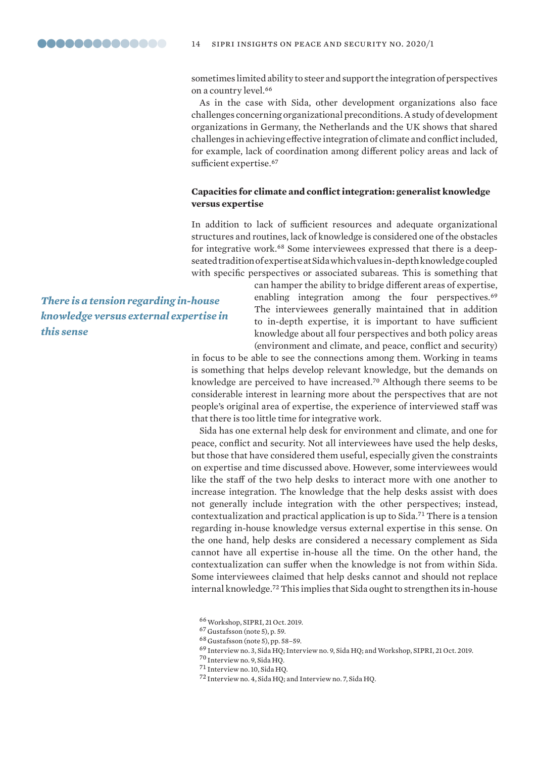sometimes limited ability to steer and support the integration of perspectives on a country level.<sup>66</sup>

As in the case with Sida, other development organizations also face challenges concerning organizational preconditions. A study of development organizations in Germany, the Netherlands and the UK shows that shared challenges in achieving effective integration of climate and conflict included, for example, lack of coordination among different policy areas and lack of sufficient expertise.<sup>67</sup>

## **Capacities for climate and conflict integration: generalist knowledge versus expertise**

In addition to lack of sufficient resources and adequate organizational structures and routines, lack of knowledge is considered one of the obstacles for integrative work.68 Some interviewees expressed that there is a deepseated tradition of expertise at Sida which values in-depth knowledge coupled with specific perspectives or associated subareas. This is something that

*There is a tension regarding in-house knowledge versus external expertise in this sense*

can hamper the ability to bridge different areas of expertise, enabling integration among the four perspectives.<sup>69</sup> The interviewees generally maintained that in addition to in-depth expertise, it is important to have sufficient knowledge about all four perspectives and both policy areas (environment and climate, and peace, conflict and security)

in focus to be able to see the connections among them. Working in teams is something that helps develop relevant knowledge, but the demands on knowledge are perceived to have increased.<sup>70</sup> Although there seems to be considerable interest in learning more about the perspectives that are not people's original area of expertise, the experience of interviewed staff was that there is too little time for integrative work.

Sida has one external help desk for environment and climate, and one for peace, conflict and security. Not all interviewees have used the help desks, but those that have considered them useful, especially given the constraints on expertise and time discussed above. However, some interviewees would like the staff of the two help desks to interact more with one another to increase integration. The knowledge that the help desks assist with does not generally include integration with the other perspectives; instead, contextualization and practical application is up to Sida.<sup>71</sup> There is a tension regarding in-house knowledge versus external expertise in this sense. On the one hand, help desks are considered a necessary complement as Sida cannot have all expertise in-house all the time. On the other hand, the contextualization can suffer when the knowledge is not from within Sida. Some interviewees claimed that help desks cannot and should not replace internal knowledge.<sup>72</sup> This implies that Sida ought to strengthen its in-house

<sup>70</sup> Interview no. 9, Sida HQ.

<sup>66</sup>Workshop, SIPRI, 21 Oct. 2019.

<sup>67</sup> Gustafsson (note 5), p. 59.

<sup>68</sup> Gustafsson (note 5), pp. 58–59.

<sup>69</sup> Interview no. 3, Sida HQ; Interview no. 9, Sida HQ; and Workshop, SIPRI, 21 Oct. 2019.

<sup>71</sup> Interview no. 10, Sida HQ.

<sup>72</sup> Interview no. 4, Sida HQ; and Interview no. 7, Sida HQ.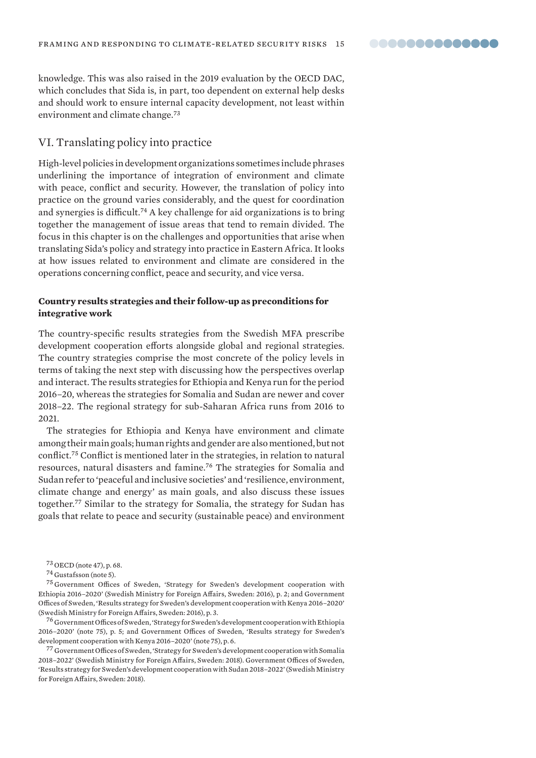

knowledge. This was also raised in the 2019 evaluation by the OECD DAC, which concludes that Sida is, in part, too dependent on external help desks and should work to ensure internal capacity development, not least within environment and climate change.<sup>73</sup>

# VI. Translating policy into practice

High-level policies in development organizations sometimes include phrases underlining the importance of integration of environment and climate with peace, conflict and security. However, the translation of policy into practice on the ground varies considerably, and the quest for coordination and synergies is difficult.<sup>74</sup> A key challenge for aid organizations is to bring together the management of issue areas that tend to remain divided. The focus in this chapter is on the challenges and opportunities that arise when translating Sida's policy and strategy into practice in Eastern Africa. It looks at how issues related to environment and climate are considered in the operations concerning conflict, peace and security, and vice versa.

## **Country results strategies and their follow-up as preconditions for integrative work**

The country-specific results strategies from the Swedish MFA prescribe development cooperation efforts alongside global and regional strategies. The country strategies comprise the most concrete of the policy levels in terms of taking the next step with discussing how the perspectives overlap and interact. The results strategies for Ethiopia and Kenya run for the period 2016–20, whereas the strategies for Somalia and Sudan are newer and cover 2018–22. The regional strategy for sub-Saharan Africa runs from 2016 to 2021.

The strategies for Ethiopia and Kenya have environment and climate among their main goals; human rights and gender are also mentioned, but not conflict.<sup>75</sup> Conflict is mentioned later in the strategies, in relation to natural resources, natural disasters and famine.<sup>76</sup> The strategies for Somalia and Sudan refer to 'peaceful and inclusive societies' and 'resilience, environment, climate change and energy' as main goals, and also discuss these issues together.<sup>77</sup> Similar to the strategy for Somalia, the strategy for Sudan has goals that relate to peace and security (sustainable peace) and environment

<sup>75</sup> Government Offices of Sweden, 'Strategy for Sweden's development cooperation with Ethiopia 2016–2020' (Swedish Ministry for Foreign Affairs, Sweden: 2016), p. 2; and Government Offices of Sweden, 'Results strategy for Sweden's development cooperation with Kenya 2016–2020' (Swedish Ministry for Foreign Affairs, Sweden: 2016), p. 3.

<sup>76</sup> Government Offices of Sweden, 'Strategy for Sweden's development cooperation with Ethiopia 2016–2020' (note 75), p. 5; and Government Offices of Sweden, 'Results strategy for Sweden's development cooperation with Kenya 2016–2020' (note 75), p. 6.

<sup>77</sup> Government Offices of Sweden, 'Strategy for Sweden's development cooperation with Somalia 2018–2022' (Swedish Ministry for Foreign Affairs, Sweden: 2018). Government Offices of Sweden, 'Results strategy for Sweden's development cooperation with Sudan 2018–2022' (Swedish Ministry for Foreign Affairs, Sweden: 2018).

<sup>73</sup> OECD (note 47), p. 68.

<sup>74</sup> Gustafsson (note 5).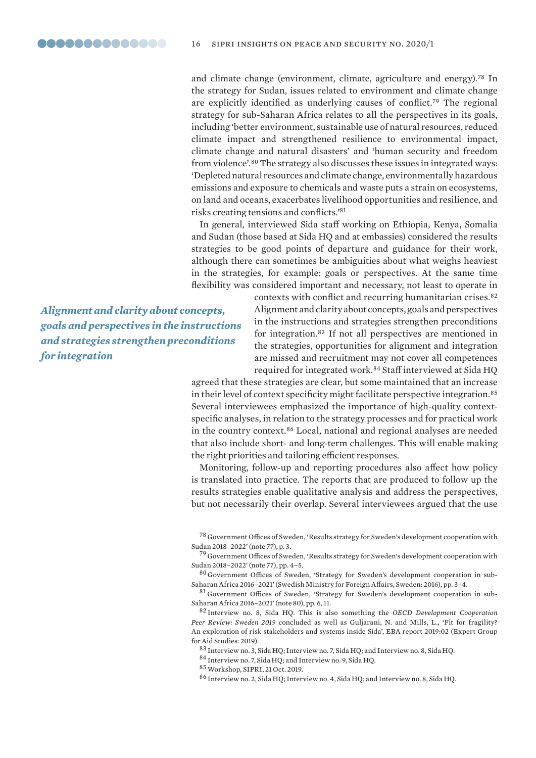and climate change (environment, climate, agriculture and energy).<sup>78</sup> In the strategy for Sudan, issues related to environment and climate change are explicitly identified as underlying causes of conflict.<sup>79</sup> The regional strategy for sub-Saharan Africa relates to all the perspectives in its goals, including 'better environment, sustainable use of natural resources, reduced climate impact and strengthened resilience to environmental impact, climate change and natural disasters' and 'human security and freedom from violence'.<sup>80</sup> The strategy also discusses these issues in integrated ways: 'Depleted natural resources and climate change, environmentally hazardous emissions and exposure to chemicals and waste puts a strain on ecosystems, on land and oceans, exacerbates livelihood opportunities and resilience, and risks creating tensions and conflicts.'<sup>81</sup>

In general, interviewed Sida staff working on Ethiopia, Kenya, Somalia and Sudan (those based at Sida HQ and at embassies) considered the results strategies to be good points of departure and guidance for their work, although there can sometimes be ambiguities about what weighs heaviest in the strategies, for example: goals or perspectives. At the same time flexibility was considered important and necessary, not least to operate in

*Alignment and clarity about concepts, goals and perspectives in the instructions and strategies strengthen preconditions for integration*

contexts with conflict and recurring humanitarian crises.<sup>82</sup> Alignment and clarity about concepts, goals and perspectives in the instructions and strategies strengthen preconditions for integration.<sup>83</sup> If not all perspectives are mentioned in the strategies, opportunities for alignment and integration are missed and recruitment may not cover all competences required for integrated work.<sup>84</sup> Staff interviewed at Sida HQ

agreed that these strategies are clear, but some maintained that an increase in their level of context specificity might facilitate perspective integration.<sup>85</sup> Several interviewees emphasized the importance of high-quality contextspecific analyses, in relation to the strategy processes and for practical work in the country context.<sup>86</sup> Local, national and regional analyses are needed that also include short- and long-term challenges. This will enable making the right priorities and tailoring efficient responses.

Monitoring, follow-up and reporting procedures also affect how policy is translated into practice. The reports that are produced to follow up the results strategies enable qualitative analysis and address the perspectives, but not necessarily their overlap. Several interviewees argued that the use

<sup>78</sup> Government Offices of Sweden, 'Results strategy for Sweden's development cooperation with Sudan 2018–2022' (note 77), p. 3.

<sup>79</sup> Government Offices of Sweden, 'Results strategy for Sweden's development cooperation with Sudan 2018–2022' (note 77), pp. 4–5.

<sup>80</sup> Government Offices of Sweden, 'Strategy for Sweden's development cooperation in sub-Saharan Africa 2016–2021' (Swedish Ministry for Foreign Affairs, Sweden: 2016), pp. 3–4.

<sup>81</sup> Government Offices of Sweden, 'Strategy for Sweden's development cooperation in sub-Saharan Africa 2016–2021' (note 80), pp. 6, 11.

<sup>82</sup> Interview no. 8, Sida HQ. This is also something the *OECD Development Cooperation Peer Review: Sweden 2019* concluded as well as Guljarani, N. and Mills, L., 'Fit for fragility? An exploration of risk stakeholders and systems inside Sida', EBA report 2019:02 (Expert Group for Aid Studies: 2019).

<sup>83</sup> Interview no. 3, Sida HQ; Interview no. 7, Sida HQ; and Interview no. 8, Sida HQ.

<sup>84</sup> Interview no. 7, Sida HQ; and Interview no. 9, Sida HQ.

<sup>85</sup>Workshop, SIPRI, 21 Oct. 2019.

<sup>86</sup> Interview no. 2, Sida HQ; Interview no. 4, Sida HQ; and Interview no. 8, Sida HQ.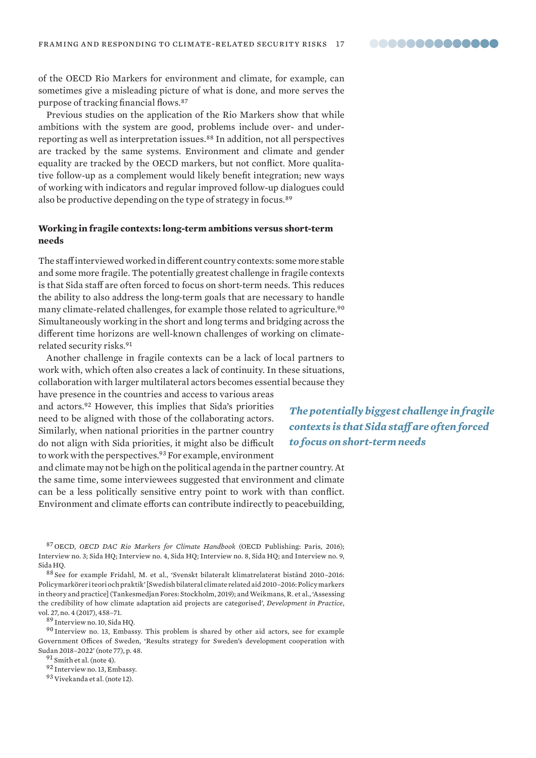of the OECD Rio Markers for environment and climate, for example, can sometimes give a misleading picture of what is done, and more serves the purpose of tracking financial flows.<sup>87</sup>

Previous studies on the application of the Rio Markers show that while ambitions with the system are good, problems include over- and underreporting as well as interpretation issues.<sup>88</sup> In addition, not all perspectives are tracked by the same systems. Environment and climate and gender equality are tracked by the OECD markers, but not conflict. More qualitative follow-up as a complement would likely benefit integration; new ways of working with indicators and regular improved follow-up dialogues could also be productive depending on the type of strategy in focus.<sup>89</sup>

#### **Working in fragile contexts: long-term ambitions versus short-term needs**

The staff interviewed worked in different country contexts: some more stable and some more fragile. The potentially greatest challenge in fragile contexts is that Sida staff are often forced to focus on short-term needs. This reduces the ability to also address the long-term goals that are necessary to handle many climate-related challenges, for example those related to agriculture.<sup>90</sup> Simultaneously working in the short and long terms and bridging across the different time horizons are well-known challenges of working on climaterelated security risks.<sup>91</sup>

Another challenge in fragile contexts can be a lack of local partners to work with, which often also creates a lack of continuity. In these situations, collaboration with larger multilateral actors becomes essential because they

have presence in the countries and access to various areas and actors.<sup>92</sup> However, this implies that Sida's priorities need to be aligned with those of the collaborating actors. Similarly, when national priorities in the partner country do not align with Sida priorities, it might also be difficult to work with the perspectives.<sup>93</sup> For example, environment

*The potentially biggest challenge in fragile contexts is that Sida staff are often forced to focus on short-term needs*

and climate may not be high on the political agenda in the partner country. At the same time, some interviewees suggested that environment and climate can be a less politically sensitive entry point to work with than conflict. Environment and climate efforts can contribute indirectly to peacebuilding,

<sup>87</sup> OECD, *OECD DAC Rio Markers for Climate Handbook* (OECD Publishing: Paris, 2016); Interview no. 3; Sida HQ; Interview no. 4, Sida HQ; Interview no. 8, Sida HQ; and Interview no. 9, Sida HQ.

<sup>88</sup> See for example Fridahl, M. et al., 'Svenskt bilateralt klimatrelaterat bistånd 2010–2016: Policymarkörer i teori och praktik' [Swedish bilateral climate related aid 2010–2016: Policy markers in theory and practice] (Tankesmedjan Fores: Stockholm, 2019); and Weikmans, R. et al., 'Assessing the credibility of how climate adaptation aid projects are categorised', *Development in Practice*, vol. 27, no. 4 (2017), 458–71.

<sup>89</sup> Interview no. 10, Sida HQ.

<sup>90</sup> Interview no. 13, Embassy. This problem is shared by other aid actors, see for example Government Offices of Sweden, 'Results strategy for Sweden's development cooperation with Sudan 2018–2022' (note 77), p. 48.

<sup>91</sup> Smith et al. (note 4).

92 Interview no. 13, Embassy.

<sup>93</sup> Vivekanda et al. (note 12).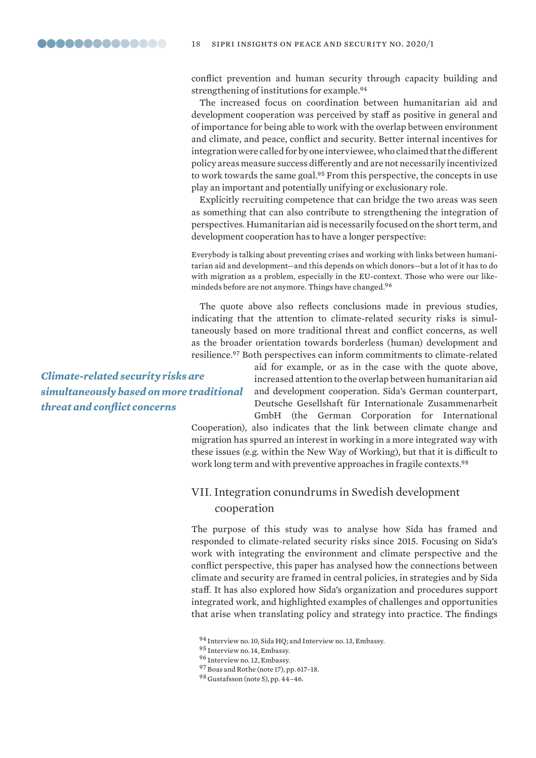conflict prevention and human security through capacity building and strengthening of institutions for example.<sup>94</sup>

The increased focus on coordination between humanitarian aid and development cooperation was perceived by staff as positive in general and of importance for being able to work with the overlap between environment and climate, and peace, conflict and security. Better internal incentives for integration were called for by one interviewee, who claimed that the different policy areas measure success differently and are not necessarily incentivized to work towards the same goal.<sup>95</sup> From this perspective, the concepts in use play an important and potentially unifying or exclusionary role.

Explicitly recruiting competence that can bridge the two areas was seen as something that can also contribute to strengthening the integration of perspectives. Humanitarian aid is necessarily focused on the short term, and development cooperation has to have a longer perspective:

Everybody is talking about preventing crises and working with links between humanitarian aid and development—and this depends on which donors—but a lot of it has to do with migration as a problem, especially in the EU-context. Those who were our likemindeds before are not anymore. Things have changed.<sup>96</sup>

The quote above also reflects conclusions made in previous studies, indicating that the attention to climate-related security risks is simultaneously based on more traditional threat and conflict concerns, as well as the broader orientation towards borderless (human) development and resilience.<sup>97</sup> Both perspectives can inform commitments to climate-related

*Climate-related security risks are simultaneously based on more traditional threat and conflict concerns*

aid for example, or as in the case with the quote above, increased attention to the overlap between humanitarian aid and development cooperation. Sida's German counterpart, Deutsche Gesellshaft für Internationale Zusammenarbeit GmbH (the German Corporation for International

Cooperation), also indicates that the link between climate change and migration has spurred an interest in working in a more integrated way with these issues (e.g. within the New Way of Working), but that it is difficult to work long term and with preventive approaches in fragile contexts.<sup>98</sup>

# VII. Integration conundrums in Swedish development cooperation

The purpose of this study was to analyse how Sida has framed and responded to climate-related security risks since 2015. Focusing on Sida's work with integrating the environment and climate perspective and the conflict perspective, this paper has analysed how the connections between climate and security are framed in central policies, in strategies and by Sida staff. It has also explored how Sida's organization and procedures support integrated work, and highlighted examples of challenges and opportunities that arise when translating policy and strategy into practice. The findings

<sup>94</sup> Interview no. 10, Sida HQ; and Interview no. 13, Embassy.

<sup>95</sup> Interview no. 14, Embassy.

<sup>96</sup> Interview no. 12, Embassy.

<sup>97</sup> Boas and Rothe (note 17), pp. 617–18.

<sup>98</sup> Gustafsson (note 5), pp. 44–46.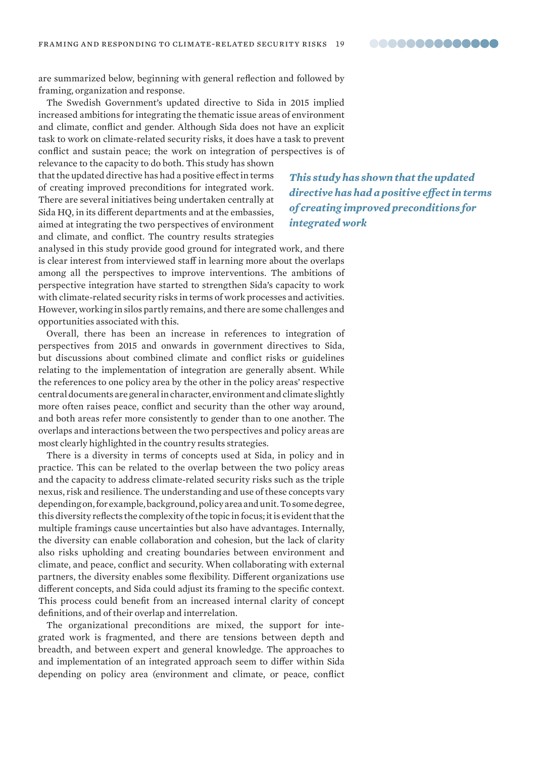are summarized below, beginning with general reflection and followed by framing, organization and response.

The Swedish Government's updated directive to Sida in 2015 implied increased ambitions for integrating the thematic issue areas of environment and climate, conflict and gender. Although Sida does not have an explicit task to work on climate-related security risks, it does have a task to prevent conflict and sustain peace; the work on integration of perspectives is of

relevance to the capacity to do both. This study has shown that the updated directive has had a positive effect in terms of creating improved preconditions for integrated work. There are several initiatives being undertaken centrally at Sida HQ, in its different departments and at the embassies, aimed at integrating the two perspectives of environment and climate, and conflict. The country results strategies

*This study has shown that the updated directive has had a positive effect in terms of creating improved preconditions for integrated work*

analysed in this study provide good ground for integrated work, and there is clear interest from interviewed staff in learning more about the overlaps among all the perspectives to improve interventions. The ambitions of perspective integration have started to strengthen Sida's capacity to work with climate-related security risks in terms of work processes and activities. However, working in silos partly remains, and there are some challenges and opportunities associated with this.

Overall, there has been an increase in references to integration of perspectives from 2015 and onwards in government directives to Sida, but discussions about combined climate and conflict risks or guidelines relating to the implementation of integration are generally absent. While the references to one policy area by the other in the policy areas' respective central documents are general in character, environment and climate slightly more often raises peace, conflict and security than the other way around, and both areas refer more consistently to gender than to one another. The overlaps and interactions between the two perspectives and policy areas are most clearly highlighted in the country results strategies.

There is a diversity in terms of concepts used at Sida, in policy and in practice. This can be related to the overlap between the two policy areas and the capacity to address climate-related security risks such as the triple nexus, risk and resilience. The understanding and use of these concepts vary depending on, for example, background, policy area and unit. To some degree, this diversity reflects the complexity of the topic in focus; it is evident that the multiple framings cause uncertainties but also have advantages. Internally, the diversity can enable collaboration and cohesion, but the lack of clarity also risks upholding and creating boundaries between environment and climate, and peace, conflict and security. When collaborating with external partners, the diversity enables some flexibility. Different organizations use different concepts, and Sida could adjust its framing to the specific context. This process could benefit from an increased internal clarity of concept definitions, and of their overlap and interrelation.

The organizational preconditions are mixed, the support for integrated work is fragmented, and there are tensions between depth and breadth, and between expert and general knowledge. The approaches to and implementation of an integrated approach seem to differ within Sida depending on policy area (environment and climate, or peace, conflict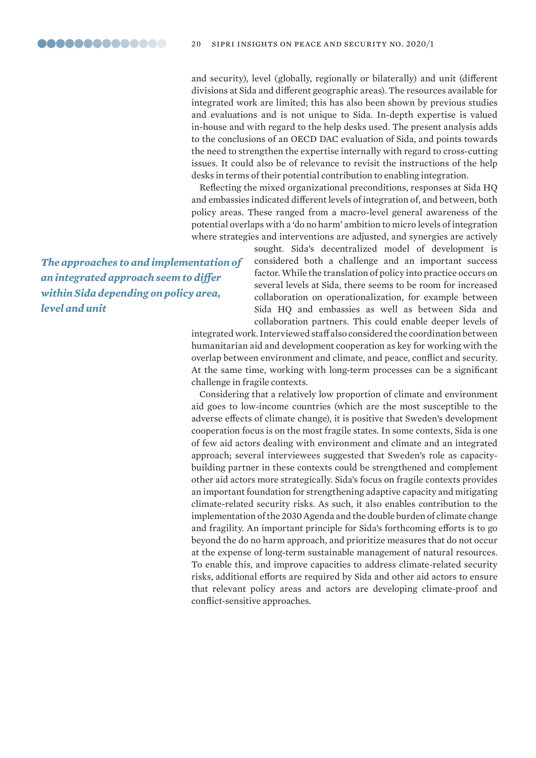and security), level (globally, regionally or bilaterally) and unit (different divisions at Sida and different geographic areas). The resources available for integrated work are limited; this has also been shown by previous studies and evaluations and is not unique to Sida. In-depth expertise is valued in-house and with regard to the help desks used. The present analysis adds to the conclusions of an OECD DAC evaluation of Sida, and points towards the need to strengthen the expertise internally with regard to cross-cutting issues. It could also be of relevance to revisit the instructions of the help desks in terms of their potential contribution to enabling integration.

Reflecting the mixed organizational preconditions, responses at Sida HQ and embassies indicated different levels of integration of, and between, both policy areas. These ranged from a macro-level general awareness of the potential overlaps with a 'do no harm' ambition to micro levels of integration where strategies and interventions are adjusted, and synergies are actively

*The approaches to and implementation of an integrated approach seem to differ within Sida depending on policy area, level and unit*

sought. Sida's decentralized model of development is considered both a challenge and an important success factor. While the translation of policy into practice occurs on several levels at Sida, there seems to be room for increased collaboration on operationalization, for example between Sida HQ and embassies as well as between Sida and collaboration partners. This could enable deeper levels of

integrated work. Interviewed staff also considered the coordination between humanitarian aid and development cooperation as key for working with the overlap between environment and climate, and peace, conflict and security. At the same time, working with long-term processes can be a significant challenge in fragile contexts.

Considering that a relatively low proportion of climate and environment aid goes to low-income countries (which are the most susceptible to the adverse effects of climate change), it is positive that Sweden's development cooperation focus is on the most fragile states. In some contexts, Sida is one of few aid actors dealing with environment and climate and an integrated approach; several interviewees suggested that Sweden's role as capacitybuilding partner in these contexts could be strengthened and complement other aid actors more strategically. Sida's focus on fragile contexts provides an important foundation for strengthening adaptive capacity and mitigating climate-related security risks. As such, it also enables contribution to the implementation of the 2030 Agenda and the double burden of climate change and fragility. An important principle for Sida's forthcoming efforts is to go beyond the do no harm approach, and prioritize measures that do not occur at the expense of long-term sustainable management of natural resources. To enable this, and improve capacities to address climate-related security risks, additional efforts are required by Sida and other aid actors to ensure that relevant policy areas and actors are developing climate-proof and conflict-sensitive approaches.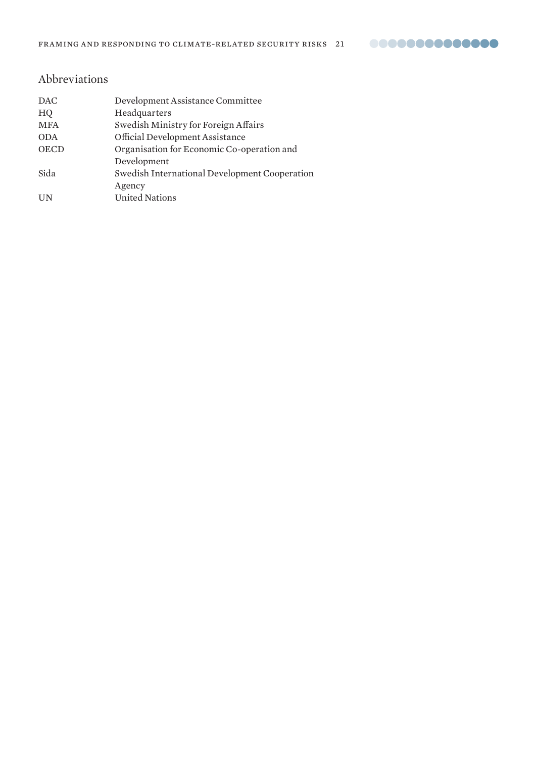# Abbreviations

| <b>DAC</b>  | Development Assistance Committee              |
|-------------|-----------------------------------------------|
| HQ          | Headquarters                                  |
| <b>MFA</b>  | Swedish Ministry for Foreign Affairs          |
| <b>ODA</b>  | Official Development Assistance               |
| <b>OECD</b> | Organisation for Economic Co-operation and    |
|             | Development                                   |
| Sida        | Swedish International Development Cooperation |
|             | Agency                                        |
| UN          | <b>United Nations</b>                         |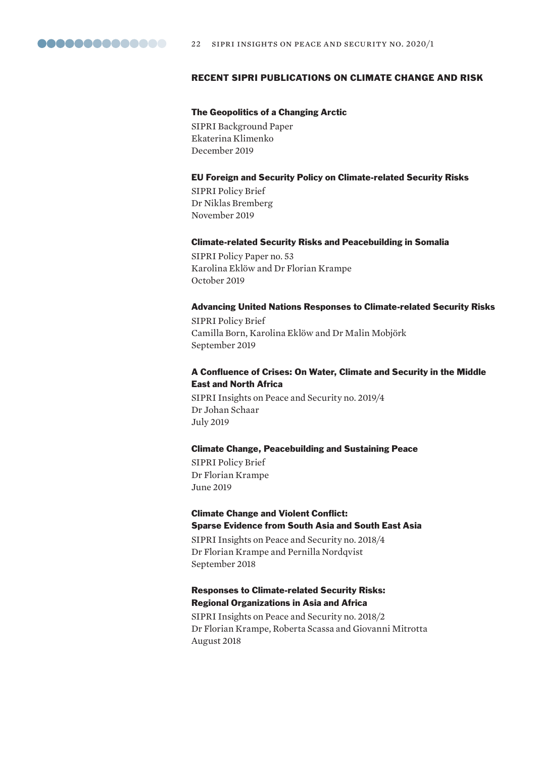

#### RECENT SIPRI PUBLICATIONS ON CLIMATE CHANGE AND RISK

#### The Geopolitics of a Changing Arctic

SIPRI Background Paper Ekaterina Klimenko December 2019

#### EU Foreign and Security Policy on Climate-related Security Risks

SIPRI Policy Brief Dr Niklas Bremberg November 2019

#### Climate-related Security Risks and Peacebuilding in Somalia

SIPRI Policy Paper no. 53 Karolina Eklöw and Dr Florian Krampe October 2019

#### Advancing United Nations Responses to Climate-related Security Risks

SIPRI Policy Brief Camilla Born, Karolina Eklöw and Dr Malin Mobjörk September 2019

## A Confluence of Crises: On Water, Climate and Security in the Middle East and North Africa

SIPRI Insights on Peace and Security no. 2019/4 Dr Johan Schaar July 2019

#### Climate Change, Peacebuilding and Sustaining Peace

SIPRI Policy Brief Dr Florian Krampe June 2019

## Climate Change and Violent Conflict: Sparse Evidence from South Asia and South East Asia

SIPRI Insights on Peace and Security no. 2018/4 Dr Florian Krampe and Pernilla Nordqvist September 2018

## Responses to Climate-related Security Risks: Regional Organizations in Asia and Africa

SIPRI Insights on Peace and Security no. 2018/2 Dr Florian Krampe, Roberta Scassa and Giovanni Mitrotta August 2018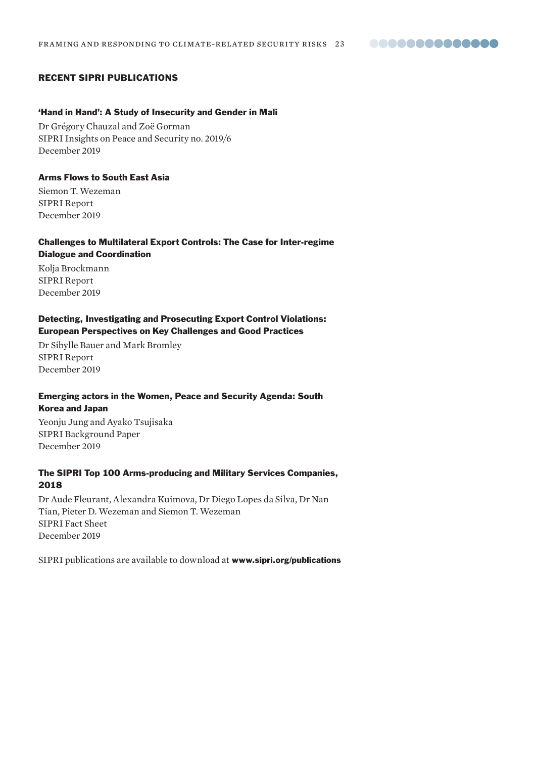**00000000000000** 

# RECENT SIPRI PUBLICATIONS

#### 'Hand in Hand': A Study of Insecurity and Gender in Mali

Dr Grégory Chauzal and Zoë Gorman SIPRI Insights on Peace and Security no. 2019/6 December 2019

#### Arms Flows to South East Asia

Siemon T. Wezeman SIPRI Report December 2019

## Challenges to Multilateral Export Controls: The Case for Inter-regime Dialogue and Coordination

Kolja Brockmann SIPRI Report December 2019

# Detecting, Investigating and Prosecuting Export Control Violations: European Perspectives on Key Challenges and Good Practices

Dr Sibylle Bauer and Mark Bromley SIPRI Report December 2019

#### Emerging actors in the Women, Peace and Security Agenda: South Korea and Japan

Yeonju Jung and Ayako Tsujisaka SIPRI Background Paper December 2019

## The SIPRI Top 100 Arms-producing and Military Services Companies, 2018

Dr Aude Fleurant, Alexandra Kuimova, Dr Diego Lopes da Silva, Dr Nan Tian, Pieter D. Wezeman and Siemon T. Wezeman SIPRI Fact Sheet December 2019

SIPRI publications are available to download at www.sipri.org/publications